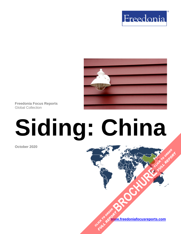



**Freedonia Focus Reports** Global Collection

# **Siding: China**

**October 2020**

**[www.freedoniafocusreports.com](https://www.freedoniafocusreports.com/redirect.asp?progid=89534&url=/)** CLICK TO ORDER **FULL REPORT** 

**[BROCHURE](https://www.freedoniafocusreports.com/Siding-China-FC60039/?progid=89541) CLICK TO ORDER** 

FULL REPORT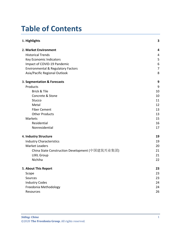# **Table of Contents**

| 1. Highlights                                   | 3              |
|-------------------------------------------------|----------------|
| 2. Market Environment                           | 4              |
| <b>Historical Trends</b>                        | 4              |
| Key Economic Indicators                         | 5              |
| Impact of COVID-19 Pandemic                     | 6              |
| Environmental & Regulatory Factors              | $\overline{7}$ |
| Asia/Pacific Regional Outlook                   | 8              |
| 3. Segmentation & Forecasts                     | 9              |
| Products                                        | 9              |
| Brick & Tile                                    | 10             |
| Concrete & Stone                                | 10             |
| Stucco                                          | 11             |
| Metal                                           | 12             |
| <b>Fiber Cement</b>                             | 13             |
| <b>Other Products</b>                           | 13             |
| Markets                                         | 15             |
| Residential                                     | 16             |
| Nonresidential                                  | 17             |
| 4. Industry Structure                           | 19             |
| <b>Industry Characteristics</b>                 | 19             |
| <b>Market Leaders</b>                           | 20             |
| China State Construction Development (中国建筑兴业集团) | 21             |
| <b>LIXIL Group</b>                              | 21             |
| Nichiha                                         | 22             |
| 5. About This Report                            | 23             |
| Scope                                           | 23             |
| Sources                                         | 23             |
| <b>Industry Codes</b>                           | 24             |
| Freedonia Methodology                           | 24             |
| Resources                                       | 26             |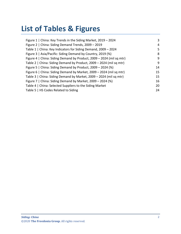# **List of Tables & Figures**

| Figure 1   China: Key Trends in the Siding Market, 2019 - 2024       | 3  |
|----------------------------------------------------------------------|----|
| Figure 2   China: Siding Demand Trends, 2009 - 2019                  | 4  |
| Table 1   China: Key Indicators for Siding Demand, 2009 - 2024       | 5  |
| Figure 3   Asia/Pacific: Siding Demand by Country, 2019 (%)          | 8  |
| Figure 4   China: Siding Demand by Product, 2009 - 2024 (mil sq mtr) | 9  |
| Table 2   China: Siding Demand by Product, 2009 - 2024 (mil sq mtr)  | 9  |
| Figure 5   China: Siding Demand by Product, 2009 - 2024 (%)          | 14 |
| Figure 6   China: Siding Demand by Market, 2009 - 2024 (mil sq mtr)  | 15 |
| Table 3   China: Siding Demand by Market, 2009 - 2024 (mil sq mtr)   | 15 |
| Figure 7   China: Siding Demand by Market, 2009 - 2024 (%)           | 16 |
| Table 4   China: Selected Suppliers to the Siding Market             | 20 |
| Table 5   HS Codes Related to Siding                                 | 24 |
|                                                                      |    |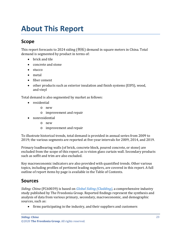# <span id="page-3-0"></span>**About This Report**

# <span id="page-3-1"></span>**Scope**

This report forecasts to 2024 siding (侧板) demand in square meters in China. Total demand is segmented by product in terms of:

- brick and tile
- concrete and stone
- stucco
- metal
- fiber cement
- other products such as exterior insulation and finish systems (EIFS), wood, and vinyl

Total demand is also segmented by market as follows:

- residential
	- o new
	- o improvement and repair
- nonresidential
	- o new
	- o improvement and repair

To illustrate historical trends, total demand is provided in annual series from 2009 to 2019; the various segments are reported at five-year intervals for 2009, 2014, and 2019.

Primary loadbearing walls (of brick, concrete block, poured concrete, or stone) are excluded from the scope of this report, as is vision glass curtain wall. Secondary products such as soffit and trim are also excluded.

Key macroeconomic indicators are also provided with quantified trends. Other various topics, including profiles of pertinent leading suppliers, are covered in this report. A full outline of report items by page is available in the Table of Contents.

## <span id="page-3-2"></span>**Sources**

*Siding: China* (FC60039) is based on *[Global Siding \(Cladding\),](http://www.freedoniagroup.com/DocumentDetails.aspx?ReferrerId=FL-FOCUS&studyid=3874)* a comprehensive industry study published by The Freedonia Group. Reported findings represent the synthesis and analysis of data from various primary, secondary, macroeconomic, and demographic sources, such as:

• firms participating in the industry, and their suppliers and customers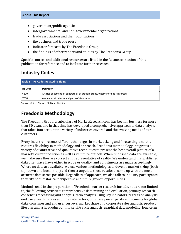#### **About This Report**

- government/public agencies
- intergovernmental and non-governmental organizations
- trade associations and their publications
- the business and trade press
- indicator forecasts by The Freedonia Group
- the findings of other reports and studies by The Freedonia Group

Specific sources and additional resources are listed in the Resources section of this publication for reference and to facilitate further research.

## <span id="page-4-0"></span>**Industry Codes**

<span id="page-4-2"></span>

| Table 5   HS Codes Related to Siding |                                                                                   |  |
|--------------------------------------|-----------------------------------------------------------------------------------|--|
| <b>HS Code</b>                       | <b>Definition</b>                                                                 |  |
| 6810                                 | Articles of cement, of concrete or of artificial stone, whether or not reinforced |  |
| 7610                                 | Aluminum structures and parts of structures                                       |  |

Source: United Nations Statistics Division

## <span id="page-4-1"></span>**Freedonia Methodology**

The Freedonia Group, a subsidiary of MarketResearch.com, has been in business for more than 30 years and in that time has developed a comprehensive approach to data analysis that takes into account the variety of industries covered and the evolving needs of our customers.

Every industry presents different challenges in market sizing and forecasting, and this requires flexibility in methodology and approach. Freedonia methodology integrates a variety of quantitative and qualitative techniques to present the best overall picture of a market's current position as well as its future outlook: When published data are available, we make sure they are correct and representative of reality. We understand that published data often have flaws either in scope or quality, and adjustments are made accordingly. Where no data are available, we use various methodologies to develop market sizing (both top-down and bottom-up) and then triangulate those results to come up with the most accurate data series possible. Regardless of approach, we also talk to industry participants to verify both historical perspective and future growth opportunities.

Methods used in the preparation of Freedonia market research include, but are not limited to, the following activities: comprehensive data mining and evaluation, primary research, consensus forecasting and analysis, ratio analysis using key indicators, regression analysis, end use growth indices and intensity factors, purchase power parity adjustments for global data, consumer and end user surveys, market share and corporate sales analysis, product lifespan analysis, product or market life cycle analysis, graphical data modeling, long-term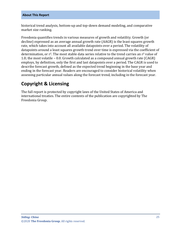historical trend analysis, bottom-up and top-down demand modeling, and comparative market size ranking.

Freedonia quantifies trends in various measures of growth and volatility. Growth (or decline) expressed as an average annual growth rate (AAGR) is the least squares growth rate, which takes into account all available datapoints over a period. The volatility of datapoints around a least squares growth trend over time is expressed via the coefficient of determination, or  $r^2$ . The most stable data series relative to the trend carries an  $r^2$  value of 1.0; the most volatile – 0.0. Growth calculated as a compound annual growth rate (CAGR) employs, by definition, only the first and last datapoints over a period. The CAGR is used to describe forecast growth, defined as the expected trend beginning in the base year and ending in the forecast year. Readers are encouraged to consider historical volatility when assessing particular annual values along the forecast trend, including in the forecast year.

# **Copyright & Licensing**

The full report is protected by copyright laws of the United States of America and international treaties. The entire contents of the publication are copyrighted by The Freedonia Group.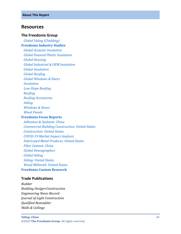### <span id="page-6-0"></span>**Resources**

#### **The Freedonia Group**

 *[Global Siding \(Cladding\)](http://www.freedoniagroup.com/DocumentDetails.aspx?ReferrerId=FL-FOCUS&studyid=3874)* **[Freedonia Industry Studies](http://www.freedoniagroup.com/Home.aspx?ReferrerId=FL-Focus)**  *[Global Acoustic Insulation](http://www.freedoniagroup.com/DocumentDetails.aspx?ReferrerId=FL-FOCUS&studyid=3708) [Global Foamed Plastic Insulation](http://www.freedoniagroup.com/DocumentDetails.aspx?ReferrerId=FL-FOCUS&studyid=3756) [Global Housing](http://www.freedoniagroup.com/DocumentDetails.aspx?ReferrerId=FL-FOCUS&studyid=3752) [Global Industrial & OEM Insulation](http://www.freedoniagroup.com/DocumentDetails.aspx?ReferrerId=FL-FOCUS&studyid=3783) [Global Insulation](http://www.freedoniagroup.com/DocumentDetails.aspx?ReferrerId=FL-FOCUS&studyid=3826) [Global Roofing](http://www.freedoniagroup.com/DocumentDetails.aspx?ReferrerId=FL-FOCUS&studyid=3698) [Global Windows & Doors](http://www.freedoniagroup.com/DocumentDetails.aspx?ReferrerId=FL-FOCUS&studyid=3771) [Insulation](http://www.freedoniagroup.com/DocumentDetails.aspx?ReferrerId=FL-FOCUS&studyid=3754) Low [-Slope Roofing](http://www.freedoniagroup.com/DocumentDetails.aspx?ReferrerId=FL-FOCUS&studyid=3873) [Roofing](http://www.freedoniagroup.com/DocumentDetails.aspx?ReferrerId=FL-FOCUS&studyid=3835) [Roofing Accessories](http://www.freedoniagroup.com/DocumentDetails.aspx?ReferrerId=FL-FOCUS&studyid=3706) [Siding](http://www.freedoniagroup.com/DocumentDetails.aspx?ReferrerId=FL-FOCUS&studyid=3775) [Windows & Doors](http://www.freedoniagroup.com/DocumentDetails.aspx?ReferrerId=FL-FOCUS&studyid=3726) [Wood Panels](http://www.freedoniagroup.com/DocumentDetails.aspx?ReferrerId=FL-FOCUS&studyid=3857)*

#### **[Freedonia Focus Reports](https://www.freedoniafocusreports.com/redirect.asp?progid=89534&url=/)**

 *[Adhesives & Sealants: China](https://www.freedoniafocusreports.com/Adhesives-Sealants-China-FC35088/?progid=89534) [Commercial Building Construction: United States](https://www.freedoniafocusreports.com/Commercial-Building-Construction-United-States-FF60032/?progid=89534) [Construction: United States](https://www.freedoniafocusreports.com/Construction-United-States-FF60054/?progid=89534) COVID [-19 Market Impact Analysis](https://www.freedoniafocusreports.com/COVID-19-Market-Impact-Analysis-FW95079/?progid=89534) [Fabricated Metal Products: United States](https://www.freedoniafocusreports.com/Fabricated-Metal-Products-United-States-FF70027/?progid=89534) [Fiber Cement: China](https://www.freedoniafocusreports.com/Fiber-Cement-China-FC60072/?progid=89534) [Global Demographics](https://www.freedoniafocusreports.com/Global-Demographics-FW95050/?progid=89534) [Global Siding](https://www.freedoniafocusreports.com/Global-Siding-FW60039/?progid=89534) [Siding: United States](https://www.freedoniafocusreports.com/Siding-United-States-FF60039/?progid=89534) [Wood Millwork: United States](https://www.freedoniafocusreports.com/Wood-Millwork-United-States-FF20012/?progid=89534)* **[Freedonia Custom Research](http://www.freedoniagroup.com/CustomResearch.aspx?ReferrerId=FL-Focus)**

#### **Trade Publications**

*Builder Building Design+Construction Engineering News -Record Journal of Light Construction Qualified Remodeler Walls & Ceilings*